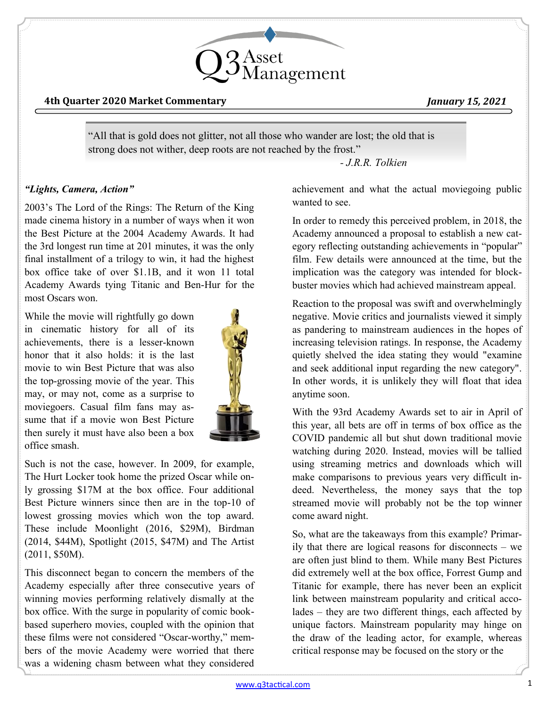

#### **4th Quarter 2020 Market Commentary** *January 15, 2021*

"All that is gold does not glitter, not all those who wander are lost; the old that is strong does not wither, deep roots are not reached by the frost."

*- J.R.R. Tolkien*

## *"Lights, Camera, Action"*

2003's The Lord of the Rings: The Return of the King made cinema history in a number of ways when it won the Best Picture at the 2004 Academy Awards. It had the 3rd longest run time at 201 minutes, it was the only final installment of a trilogy to win, it had the highest box office take of over \$1.1B, and it won 11 total Academy Awards tying Titanic and Ben-Hur for the most Oscars won.

While the movie will rightfully go down in cinematic history for all of its achievements, there is a lesser-known honor that it also holds: it is the last movie to win Best Picture that was also the top-grossing movie of the year. This may, or may not, come as a surprise to moviegoers. Casual film fans may assume that if a movie won Best Picture then surely it must have also been a box office smash.



Such is not the case, however. In 2009, for example, The Hurt Locker took home the prized Oscar while only grossing \$17M at the box office. Four additional Best Picture winners since then are in the top-10 of lowest grossing movies which won the top award. These include Moonlight (2016, \$29M), Birdman (2014, \$44M), Spotlight (2015, \$47M) and The Artist (2011, \$50M).

This disconnect began to concern the members of the Academy especially after three consecutive years of winning movies performing relatively dismally at the box office. With the surge in popularity of comic bookbased superhero movies, coupled with the opinion that these films were not considered "Oscar-worthy," members of the movie Academy were worried that there was a widening chasm between what they considered

achievement and what the actual moviegoing public wanted to see.

In order to remedy this perceived problem, in 2018, the Academy announced a proposal to establish a new category reflecting outstanding achievements in "popular" film. Few details were announced at the time, but the implication was the category was intended for blockbuster movies which had achieved mainstream appeal.

Reaction to the proposal was swift and overwhelmingly negative. Movie critics and journalists viewed it simply as pandering to mainstream audiences in the hopes of increasing television ratings. In response, the Academy quietly shelved the idea stating they would "examine and seek additional input regarding the new category". In other words, it is unlikely they will float that idea anytime soon.

With the 93rd Academy Awards set to air in April of this year, all bets are off in terms of box office as the COVID pandemic all but shut down traditional movie watching during 2020. Instead, movies will be tallied using streaming metrics and downloads which will make comparisons to previous years very difficult indeed. Nevertheless, the money says that the top streamed movie will probably not be the top winner come award night.

So, what are the takeaways from this example? Primarily that there are logical reasons for disconnects – we are often just blind to them. While many Best Pictures did extremely well at the box office, Forrest Gump and Titanic for example, there has never been an explicit link between mainstream popularity and critical accolades – they are two different things, each affected by unique factors. Mainstream popularity may hinge on the draw of the leading actor, for example, whereas critical response may be focused on the story or the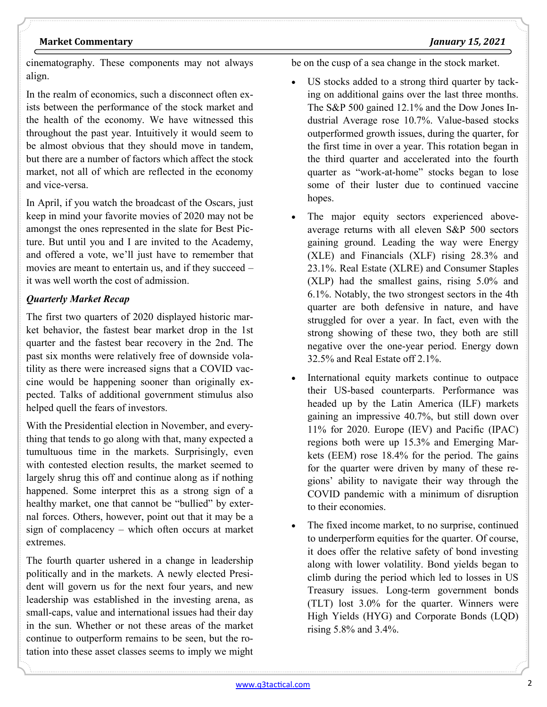#### but there are a number of factors which affect the stock

market, not all of which are reflected in the economy and vice-versa.

cinematography. These components may not always

In the realm of economics, such a disconnect often exists between the performance of the stock market and the health of the economy. We have witnessed this throughout the past year. Intuitively it would seem to be almost obvious that they should move in tandem,

In April, if you watch the broadcast of the Oscars, just keep in mind your favorite movies of 2020 may not be amongst the ones represented in the slate for Best Picture. But until you and I are invited to the Academy, and offered a vote, we'll just have to remember that movies are meant to entertain us, and if they succeed – it was well worth the cost of admission.

#### *Quarterly Market Recap*

The first two quarters of 2020 displayed historic market behavior, the fastest bear market drop in the 1st quarter and the fastest bear recovery in the 2nd. The past six months were relatively free of downside volatility as there were increased signs that a COVID vaccine would be happening sooner than originally expected. Talks of additional government stimulus also helped quell the fears of investors.

With the Presidential election in November, and everything that tends to go along with that, many expected a tumultuous time in the markets. Surprisingly, even with contested election results, the market seemed to largely shrug this off and continue along as if nothing happened. Some interpret this as a strong sign of a healthy market, one that cannot be "bullied" by external forces. Others, however, point out that it may be a sign of complacency – which often occurs at market extremes.

The fourth quarter ushered in a change in leadership politically and in the markets. A newly elected President will govern us for the next four years, and new leadership was established in the investing arena, as small-caps, value and international issues had their day in the sun. Whether or not these areas of the market continue to outperform remains to be seen, but the rotation into these asset classes seems to imply we might be on the cusp of a sea change in the stock market.

- US stocks added to a strong third quarter by tacking on additional gains over the last three months. The S&P 500 gained 12.1% and the Dow Jones Industrial Average rose 10.7%. Value-based stocks outperformed growth issues, during the quarter, for the first time in over a year. This rotation began in the third quarter and accelerated into the fourth quarter as "work-at-home" stocks began to lose some of their luster due to continued vaccine hopes.
- The major equity sectors experienced aboveaverage returns with all eleven S&P 500 sectors gaining ground. Leading the way were Energy (XLE) and Financials (XLF) rising 28.3% and 23.1%. Real Estate (XLRE) and Consumer Staples (XLP) had the smallest gains, rising 5.0% and 6.1%. Notably, the two strongest sectors in the 4th quarter are both defensive in nature, and have struggled for over a year. In fact, even with the strong showing of these two, they both are still negative over the one-year period. Energy down 32.5% and Real Estate off 2.1%.
- International equity markets continue to outpace their US-based counterparts. Performance was headed up by the Latin America (ILF) markets gaining an impressive 40.7%, but still down over 11% for 2020. Europe (IEV) and Pacific (IPAC) regions both were up 15.3% and Emerging Markets (EEM) rose 18.4% for the period. The gains for the quarter were driven by many of these regions' ability to navigate their way through the COVID pandemic with a minimum of disruption to their economies.
- The fixed income market, to no surprise, continued to underperform equities for the quarter. Of course, it does offer the relative safety of bond investing along with lower volatility. Bond yields began to climb during the period which led to losses in US Treasury issues. Long-term government bonds (TLT) lost 3.0% for the quarter. Winners were High Yields (HYG) and Corporate Bonds (LQD) rising 5.8% and 3.4%.

align.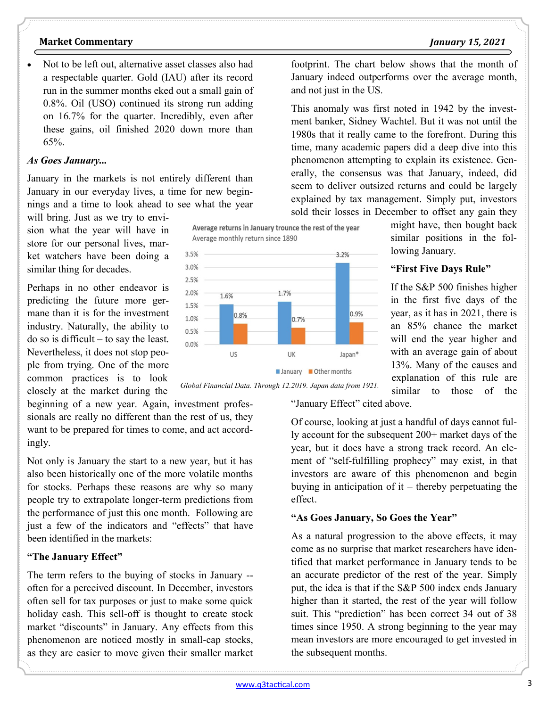might have, then bought back similar positions in the fol-

If the S&P 500 finishes higher in the first five days of the year, as it has in 2021, there is an 85% chance the market will end the year higher and with an average gain of about 13%. Many of the causes and explanation of this rule are similar to those of the

lowing January.

**"First Five Days Rule"**

footprint. The chart below shows that the month of January indeed outperforms over the average month,

This anomaly was first noted in 1942 by the investment banker, Sidney Wachtel. But it was not until the 1980s that it really came to the forefront. During this time, many academic papers did a deep dive into this phenomenon attempting to explain its existence. Generally, the consensus was that January, indeed, did seem to deliver outsized returns and could be largely explained by tax management. Simply put, investors sold their losses in December to offset any gain they

#### **Market Commentary** *January 15, 2021*

• Not to be left out, alternative asset classes also had a respectable quarter. Gold (IAU) after its record run in the summer months eked out a small gain of 0.8%. Oil (USO) continued its strong run adding on 16.7% for the quarter. Incredibly, even after these gains, oil finished 2020 down more than 65%.

#### *As Goes January...*

January in the markets is not entirely different than January in our everyday lives, a time for new beginnings and a time to look ahead to see what the year

will bring. Just as we try to envision what the year will have in store for our personal lives, market watchers have been doing a similar thing for decades.

Perhaps in no other endeavor is predicting the future more germane than it is for the investment industry. Naturally, the ability to do so is difficult – to say the least. Nevertheless, it does not stop people from trying. One of the more common practices is to look closely at the market during the

beginning of a new year. Again, investment professionals are really no different than the rest of us, they want to be prepared for times to come, and act accordingly.

Not only is January the start to a new year, but it has also been historically one of the more volatile months for stocks. Perhaps these reasons are why so many people try to extrapolate longer-term predictions from the performance of just this one month. Following are just a few of the indicators and "effects" that have been identified in the markets:

#### **"The January Effect"**

The term refers to the buying of stocks in January - often for a perceived discount. In December, investors often sell for tax purposes or just to make some quick holiday cash. This sell-off is thought to create stock market "discounts" in January. Any effects from this phenomenon are noticed mostly in small-cap stocks, as they are easier to move given their smaller market





*Global Financial Data. Through 12.2019. Japan data from 1921.* 

"January Effect" cited above.

and not just in the US.

Of course, looking at just a handful of days cannot fully account for the subsequent 200+ market days of the year, but it does have a strong track record. An element of "self-fulfilling prophecy" may exist, in that investors are aware of this phenomenon and begin buying in anticipation of it – thereby perpetuating the effect.

## **"As Goes January, So Goes the Year"**

As a natural progression to the above effects, it may come as no surprise that market researchers have identified that market performance in January tends to be an accurate predictor of the rest of the year. Simply put, the idea is that if the S&P 500 index ends January higher than it started, the rest of the year will follow suit. This "prediction" has been correct 34 out of 38 times since 1950. A strong beginning to the year may mean investors are more encouraged to get invested in the subsequent months.